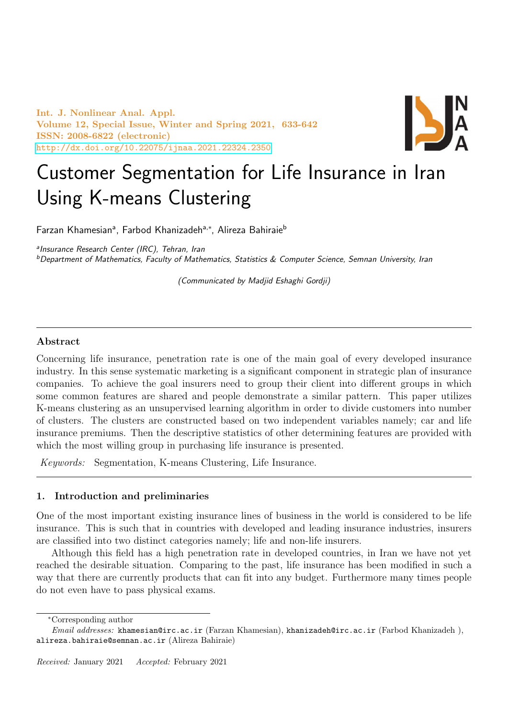Int. J. Nonlinear Anal. Appl. Volume 12, Special Issue, Winter and Spring 2021, 633-642 ISSN: 2008-6822 (electronic) <http://dx.doi.org/10.22075/ijnaa.2021.22324.2350>



# Customer Segmentation for Life Insurance in Iran Using K-means Clustering

Farzan Khamesianª, Farbod Khanizadehª<sub>\*</sub>\*, Alireza Bahiraie<sup>b</sup>

a Insurance Research Center (IRC), Tehran, Iran

 $b$ Department of Mathematics, Faculty of Mathematics, Statistics  $\&$  Computer Science, Semnan University, Iran

(Communicated by Madjid Eshaghi Gordji)

## Abstract

Concerning life insurance, penetration rate is one of the main goal of every developed insurance industry. In this sense systematic marketing is a significant component in strategic plan of insurance companies. To achieve the goal insurers need to group their client into different groups in which some common features are shared and people demonstrate a similar pattern. This paper utilizes K-means clustering as an unsupervised learning algorithm in order to divide customers into number of clusters. The clusters are constructed based on two independent variables namely; car and life insurance premiums. Then the descriptive statistics of other determining features are provided with which the most willing group in purchasing life insurance is presented.

Keywords: Segmentation, K-means Clustering, Life Insurance.

# 1. Introduction and preliminaries

One of the most important existing insurance lines of business in the world is considered to be life insurance. This is such that in countries with developed and leading insurance industries, insurers are classified into two distinct categories namely; life and non-life insurers.

Although this field has a high penetration rate in developed countries, in Iran we have not yet reached the desirable situation. Comparing to the past, life insurance has been modified in such a way that there are currently products that can fit into any budget. Furthermore many times people do not even have to pass physical exams.

<sup>∗</sup>Corresponding author

Email addresses: khamesian@irc.ac.ir (Farzan Khamesian), khanizadeh@irc.ac.ir (Farbod Khanizadeh ), alireza.bahiraie@semnan.ac.ir (Alireza Bahiraie)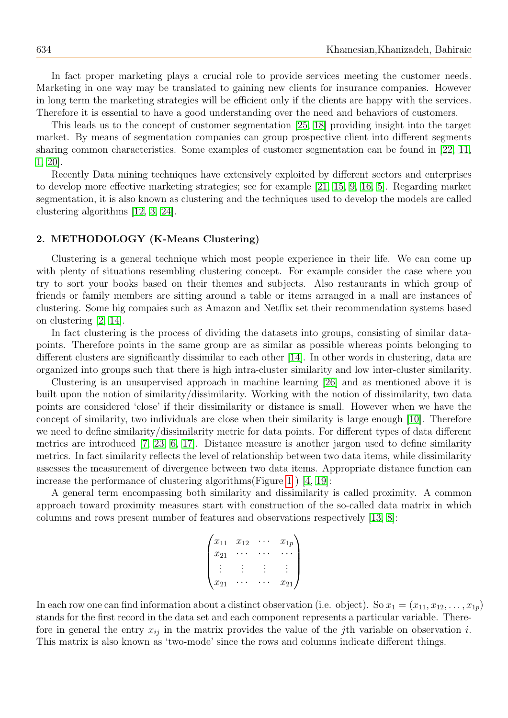In fact proper marketing plays a crucial role to provide services meeting the customer needs. Marketing in one way may be translated to gaining new clients for insurance companies. However in long term the marketing strategies will be efficient only if the clients are happy with the services. Therefore it is essential to have a good understanding over the need and behaviors of customers.

This leads us to the concept of customer segmentation [\[25,](#page-9-0) [18\]](#page-9-1) providing insight into the target market. By means of segmentation companies can group prospective client into different segments sharing common characteristics. Some examples of customer segmentation can be found in [\[22,](#page-9-2) [11,](#page-8-0) [1,](#page-8-1) [20\]](#page-9-3).

Recently Data mining techniques have extensively exploited by different sectors and enterprises to develop more effective marketing strategies; see for example [\[21,](#page-9-4) [15,](#page-8-2) [9,](#page-8-3) [16,](#page-8-4) [5\]](#page-8-5). Regarding market segmentation, it is also known as clustering and the techniques used to develop the models are called clustering algorithms [\[12,](#page-8-6) [3,](#page-8-7) [24\]](#page-9-5).

#### 2. METHODOLOGY (K-Means Clustering)

Clustering is a general technique which most people experience in their life. We can come up with plenty of situations resembling clustering concept. For example consider the case where you try to sort your books based on their themes and subjects. Also restaurants in which group of friends or family members are sitting around a table or items arranged in a mall are instances of clustering. Some big compaies such as Amazon and Netflix set their recommendation systems based on clustering [\[2,](#page-8-8) [14\]](#page-8-9).

In fact clustering is the process of dividing the datasets into groups, consisting of similar datapoints. Therefore points in the same group are as similar as possible whereas points belonging to different clusters are significantly dissimilar to each other [\[14\]](#page-8-9). In other words in clustering, data are organized into groups such that there is high intra-cluster similarity and low inter-cluster similarity.

Clustering is an unsupervised approach in machine learning [\[26\]](#page-9-6) and as mentioned above it is built upon the notion of similarity/dissimilarity. Working with the notion of dissimilarity, two data points are considered 'close' if their dissimilarity or distance is small. However when we have the concept of similarity, two individuals are close when their similarity is large enough [\[10\]](#page-8-10). Therefore we need to define similarity/dissimilarity metric for data points. For different types of data different metrics are introduced [\[7,](#page-8-11) [23,](#page-9-7) [6,](#page-8-12) [17\]](#page-9-8). Distance measure is another jargon used to define similarity metrics. In fact similarity reflects the level of relationship between two data items, while dissimilarity assesses the measurement of divergence between two data items. Appropriate distance function can increase the performance of clustering algorithms(Figure [1](#page-2-0)) [\[4,](#page-8-13) [19\]](#page-9-9):

A general term encompassing both similarity and dissimilarity is called proximity. A common approach toward proximity measures start with construction of the so-called data matrix in which columns and rows present number of features and observations respectively [\[13,](#page-8-14) [8\]](#page-8-15):

$$
\begin{pmatrix} x_{11} & x_{12} & \cdots & x_{1p} \\ x_{21} & \cdots & \cdots & \cdots \\ \vdots & \vdots & \vdots & \vdots \\ x_{21} & \cdots & \cdots & x_{21} \end{pmatrix}
$$

In each row one can find information about a distinct observation (i.e. object). So  $x_1 = (x_{11}, x_{12}, \ldots, x_{1p})$ stands for the first record in the data set and each component represents a particular variable. Therefore in general the entry  $x_{ij}$  in the matrix provides the value of the jth variable on observation i. This matrix is also known as 'two-mode' since the rows and columns indicate different things.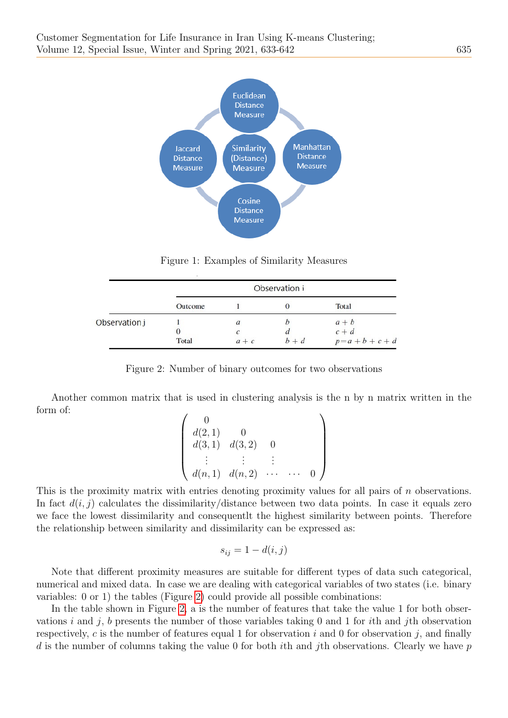

<span id="page-2-0"></span>Figure 1: Examples of Similarity Measures

|               |          |               | Observation i |             |  |
|---------------|----------|---------------|---------------|-------------|--|
|               | Outcome  |               |               | Total       |  |
| Observation j |          | $\mathfrak a$ |               | $a + b$     |  |
|               | $\theta$ |               |               | $c + d$     |  |
|               | Total    | $a + c$       | $h + d$       | $p=a+b+c+d$ |  |

Figure 2: Number of binary outcomes for two observations

Another common matrix that is used in clustering analysis is the n by n matrix written in the form of:

<span id="page-2-1"></span>
$$
\begin{pmatrix}\n0 \\
d(2,1) & 0 \\
d(3,1) & d(3,2) & 0 \\
\vdots & \vdots & \vdots \\
d(n,1) & d(n,2) & \cdots & \cdots & 0\n\end{pmatrix}
$$

This is the proximity matrix with entries denoting proximity values for all pairs of n observations. In fact  $d(i, j)$  calculates the dissimilarity/distance between two data points. In case it equals zero we face the lowest dissimilarity and consequentlt the highest similarity between points. Therefore the relationship between similarity and dissimilarity can be expressed as:

$$
s_{ij} = 1 - d(i, j)
$$

Note that different proximity measures are suitable for different types of data such categorical, numerical and mixed data. In case we are dealing with categorical variables of two states (i.e. binary variables: 0 or 1) the tables (Figure [2\)](#page-2-1) could provide all possible combinations:

In the table shown in Figure [2,](#page-2-1) a is the number of features that take the value 1 for both observations i and j, b presents the number of those variables taking 0 and 1 for ith and jth observation respectively, c is the number of features equal 1 for observation i and 0 for observation i, and finally d is the number of columns taking the value 0 for both ith and jth observations. Clearly we have  $p$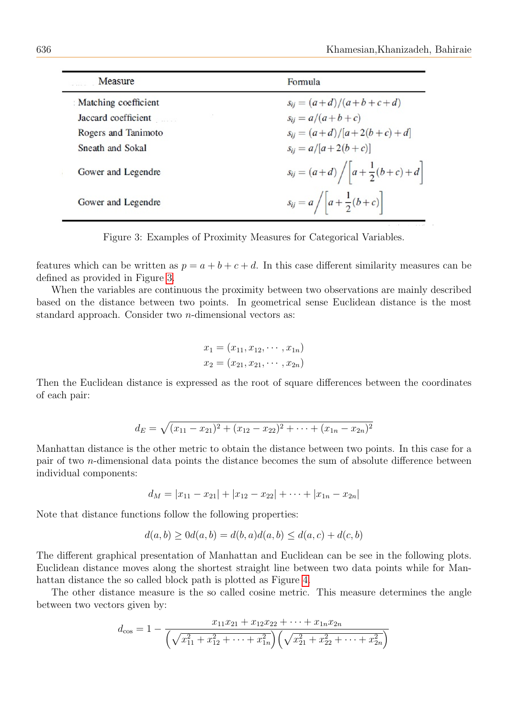| Measure              | Formula                                                    |
|----------------------|------------------------------------------------------------|
| Matching coefficient | $s_{ij} = (a+d)/(a+b+c+d)$                                 |
| Jaccard coefficient  | $s_{ii} = a/(a+b+c)$                                       |
| Rogers and Tanimoto  | $s_{ii} = (a+d)/[a+2(b+c)+d]$                              |
| Sneath and Sokal     | $s_{ii} = a/[a+2(b+c)]$                                    |
| Gower and Legendre   | $s_{ij} = (a+d) / \left[ a + \frac{1}{2}(b+c) + d \right]$ |
| Gower and Legendre   | $s_{ij} = a /  a + \frac{1}{2}(b+c) $                      |

Figure 3: Examples of Proximity Measures for Categorical Variables.

features which can be written as  $p = a + b + c + d$ . In this case different similarity measures can be defined as provided in Figure [3.](#page-3-0)

When the variables are continuous the proximity between two observations are mainly described based on the distance between two points. In geometrical sense Euclidean distance is the most standard approach. Consider two n-dimensional vectors as:

<span id="page-3-0"></span>
$$
x_1 = (x_{11}, x_{12}, \cdots, x_{1n})
$$
  

$$
x_2 = (x_{21}, x_{21}, \cdots, x_{2n})
$$

Then the Euclidean distance is expressed as the root of square differences between the coordinates of each pair:

$$
d_E = \sqrt{(x_{11} - x_{21})^2 + (x_{12} - x_{22})^2 + \dots + (x_{1n} - x_{2n})^2}
$$

Manhattan distance is the other metric to obtain the distance between two points. In this case for a pair of two n-dimensional data points the distance becomes the sum of absolute difference between individual components:

$$
d_M = |x_{11} - x_{21}| + |x_{12} - x_{22}| + \cdots + |x_{1n} - x_{2n}|
$$

Note that distance functions follow the following properties:

$$
d(a, b) \ge 0 d(a, b) = d(b, a) d(a, b) \le d(a, c) + d(c, b)
$$

The different graphical presentation of Manhattan and Euclidean can be see in the following plots. Euclidean distance moves along the shortest straight line between two data points while for Manhattan distance the so called block path is plotted as Figure [4.](#page-4-0)

The other distance measure is the so called cosine metric. This measure determines the angle between two vectors given by:

$$
d_{\cos} = 1 - \frac{x_{11}x_{21} + x_{12}x_{22} + \dots + x_{1n}x_{2n}}{\left(\sqrt{x_{11}^2 + x_{12}^2 + \dots + x_{1n}^2}\right)\left(\sqrt{x_{21}^2 + x_{22}^2 + \dots + x_{2n}^2}\right)}
$$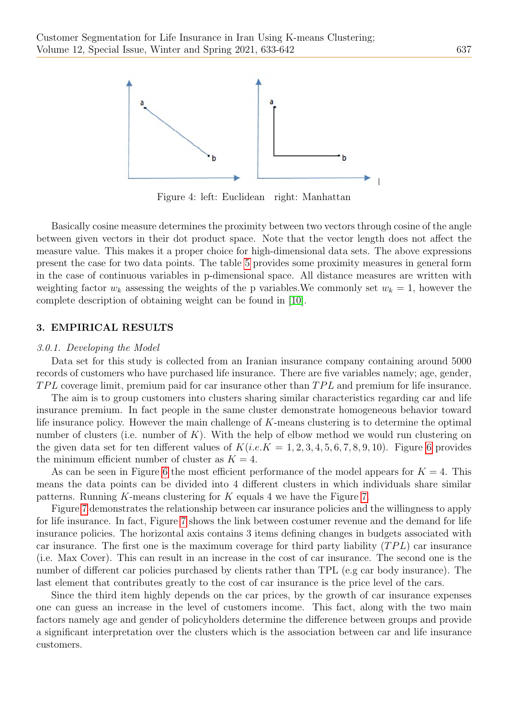

<span id="page-4-0"></span>Figure 4: left: Euclidean right: Manhattan

Basically cosine measure determines the proximity between two vectors through cosine of the angle between given vectors in their dot product space. Note that the vector length does not affect the measure value. This makes it a proper choice for high-dimensional data sets. The above expressions present the case for two data points. The table [5](#page-5-0) provides some proximity measures in general form in the case of continuous variables in p-dimensional space. All distance measures are written with weighting factor  $w_k$  assessing the weights of the p variables. We commonly set  $w_k = 1$ , however the complete description of obtaining weight can be found in [\[10\]](#page-8-10).

#### 3. EMPIRICAL RESULTS

#### 3.0.1. Developing the Model

Data set for this study is collected from an Iranian insurance company containing around 5000 records of customers who have purchased life insurance. There are five variables namely; age, gender,  $TPL$  coverage limit, premium paid for car insurance other than  $TPL$  and premium for life insurance.

The aim is to group customers into clusters sharing similar characteristics regarding car and life insurance premium. In fact people in the same cluster demonstrate homogeneous behavior toward life insurance policy. However the main challenge of K-means clustering is to determine the optimal number of clusters (i.e. number of  $K$ ). With the help of elbow method we would run clustering on the given data set for ten different values of  $K(i.e.K = 1, 2, 3, 4, 5, 6, 7, 8, 9, 10)$  $K(i.e.K = 1, 2, 3, 4, 5, 6, 7, 8, 9, 10)$  $K(i.e.K = 1, 2, 3, 4, 5, 6, 7, 8, 9, 10)$ . Figure 6 provides the minimum efficient number of cluster as  $K = 4$ .

As can be seen in Figure [6](#page-5-1) the most efficient performance of the model appears for  $K = 4$ . This means the data points can be divided into 4 different clusters in which individuals share similar patterns. Running K-means clustering for K equals 4 we have the Figure [7.](#page-6-0)

Figure [7](#page-6-0) demonstrates the relationship between car insurance policies and the willingness to apply for life insurance. In fact, Figure [7](#page-6-0) shows the link between costumer revenue and the demand for life insurance policies. The horizontal axis contains 3 items defining changes in budgets associated with car insurance. The first one is the maximum coverage for third party liability  $(TPL)$  car insurance (i.e. Max Cover). This can result in an increase in the cost of car insurance. The second one is the number of different car policies purchased by clients rather than TPL (e.g car body insurance). The last element that contributes greatly to the cost of car insurance is the price level of the cars.

Since the third item highly depends on the car prices, by the growth of car insurance expenses one can guess an increase in the level of customers income. This fact, along with the two main factors namely age and gender of policyholders determine the difference between groups and provide a significant interpretation over the clusters which is the association between car and life insurance customers.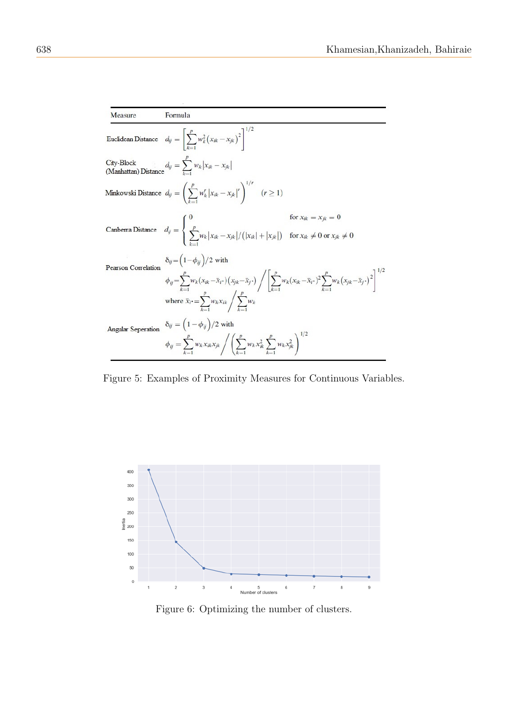| Measure             | Formula                                                                                                                                                                                                                                                                                                                                   |                           |
|---------------------|-------------------------------------------------------------------------------------------------------------------------------------------------------------------------------------------------------------------------------------------------------------------------------------------------------------------------------------------|---------------------------|
|                     | Euclidean Distance $d_{ij} = \left[\sum_{k=1}^{p} w_k^2 (x_{ik} - x_{jk})^2\right]^{1/2}$                                                                                                                                                                                                                                                 |                           |
|                     | City-Block (Manhattan) Distance $d_{ij} = \sum_{k=1}^{p} w_k  x_{ik} - x_{jk} $                                                                                                                                                                                                                                                           |                           |
|                     | Minkowski Distance $d_{ij} = \left(\sum_{k=1}^{p} w_k^r  x_{ik} - x_{jk} ^r\right)^{1/r}$ $(r \ge 1)$                                                                                                                                                                                                                                     |                           |
|                     | Canberra Distance $d_{ij} = \begin{cases} \sum_{j}^{p} w_k  x_{ik} - x_{jk}  / ( x_{ik}  +  x_{jk} ) & \text{for } x_{ik} \neq 0 \text{ or } x_{jk} \neq 0 \end{cases}$                                                                                                                                                                   | for $x_{ik} = x_{jk} = 0$ |
| Pearson Correlation | $\delta_{ij} = \left(1 - \phi_{ij}\right)/2$ with<br>$\phi_{ij} = \sum_{k=1}^{p} w_k (x_{ik} - \bar{x}_{i^*}) (x_{jk} - \bar{x}_{j^*}) \left/ \left[ \sum_{k=1}^{p} w_k (x_{ik} - \bar{x}_{i^*})^2 \sum_{k=1}^{p} w_k (x_{jk} - \bar{x}_{j^*})^2 \right]^{1/2} \right.$<br>where $\bar{x}_i = \sum_{k=1}^p w_k x_{ik} / \sum_{k=1}^p w_k$ |                           |
| Angular Seperation  | $\delta_{ij} = \left(1 - \phi_{ij}\right)/2$ with<br>$\phi_{ij} = \sum_{k=1}^{p} w_k x_{ik} x_{jk} / \left( \sum_{k=1}^{p} w_k x_{ik}^2 \sum_{k=1}^{p} w_k x_{jk}^2 \right)^{1/2}$                                                                                                                                                        |                           |

<span id="page-5-0"></span>Figure 5: Examples of Proximity Measures for Continuous Variables.



<span id="page-5-1"></span>Figure 6: Optimizing the number of clusters.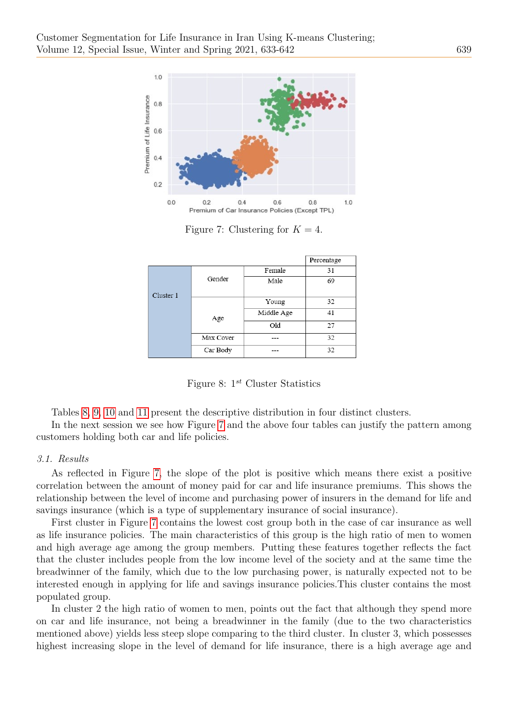

<span id="page-6-0"></span>Figure 7: Clustering for  $K = 4$ .

|           |           |            | Percentage |
|-----------|-----------|------------|------------|
|           |           | Female     | 31         |
|           | Gender    | Male       | 69         |
| Cluster 1 |           |            |            |
|           |           | Young      | 32         |
|           | Age       | Middle Age | 41         |
|           |           | Old        | 27         |
|           | Max Cover | ---        | 32         |
|           | Car Body  |            | 32         |

<span id="page-6-1"></span>Figure 8:  $1^{st}$  Cluster Statistics

Tables [8,](#page-6-1) [9,](#page-7-0) [10](#page-7-1) and [11](#page-7-2) present the descriptive distribution in four distinct clusters.

In the next session we see how Figure [7](#page-6-0) and the above four tables can justify the pattern among customers holding both car and life policies.

## 3.1. Results

As reflected in Figure [7,](#page-6-0) the slope of the plot is positive which means there exist a positive correlation between the amount of money paid for car and life insurance premiums. This shows the relationship between the level of income and purchasing power of insurers in the demand for life and savings insurance (which is a type of supplementary insurance of social insurance).

First cluster in Figure [7](#page-6-0) contains the lowest cost group both in the case of car insurance as well as life insurance policies. The main characteristics of this group is the high ratio of men to women and high average age among the group members. Putting these features together reflects the fact that the cluster includes people from the low income level of the society and at the same time the breadwinner of the family, which due to the low purchasing power, is naturally expected not to be interested enough in applying for life and savings insurance policies.This cluster contains the most populated group.

In cluster 2 the high ratio of women to men, points out the fact that although they spend more on car and life insurance, not being a breadwinner in the family (due to the two characteristics mentioned above) yields less steep slope comparing to the third cluster. In cluster 3, which possesses highest increasing slope in the level of demand for life insurance, there is a high average age and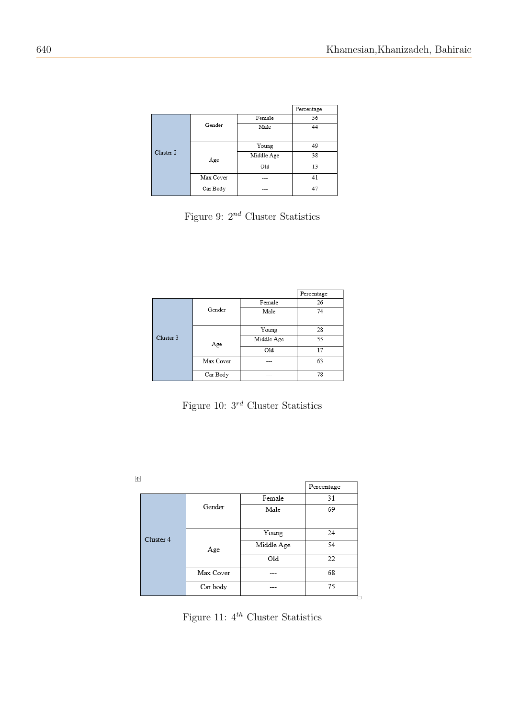|           |           |            | Percentage |
|-----------|-----------|------------|------------|
|           |           | Female     | 56         |
|           | Gender    | Male       | 44         |
|           |           | Young      | 49         |
| Cluster 2 | Age       | Middle Age | 38         |
|           |           | O1d        | 13         |
|           | Max Cover | ---        | 41         |
|           | Car Body  | ---        | 47         |

<span id="page-7-0"></span>Figure 9:  $2^{nd}$  Cluster Statistics

|           |           |            | Percentage |
|-----------|-----------|------------|------------|
|           |           | Female     | 26         |
|           | Gender    | Male       | 74         |
|           |           | Young      | 28         |
| Cluster 3 | Age       | Middle Age | 55         |
|           |           | Old        | 17         |
|           | Max Cover |            | 63         |
|           | Car Body  | ---        | 78         |

<span id="page-7-1"></span>Figure 10:  $3^{rd}$  Cluster Statistics

|           |           |            | Percentage |
|-----------|-----------|------------|------------|
| Cluster 4 | Gender    | Female     | 31         |
|           |           | Male       | 69         |
|           | Age       | Young      | 24         |
|           |           | Middle Age | 54         |
|           |           | Old        | 22         |
|           | Max Cover |            | 68         |
|           | Car body  |            | 75         |

<span id="page-7-2"></span>Figure 11:  $4^{th}$  Cluster Statistics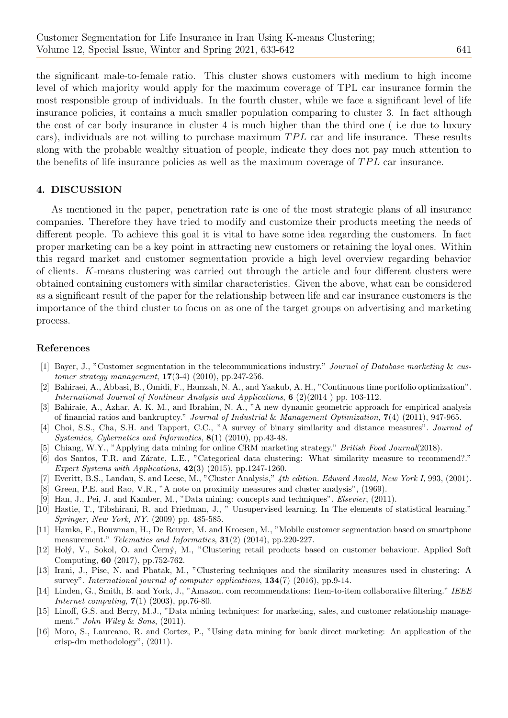the significant male-to-female ratio. This cluster shows customers with medium to high income level of which majority would apply for the maximum coverage of TPL car insurance formin the most responsible group of individuals. In the fourth cluster, while we face a significant level of life insurance policies, it contains a much smaller population comparing to cluster 3. In fact although the cost of car body insurance in cluster 4 is much higher than the third one ( i.e due to luxury cars), individuals are not willing to purchase maximum  $TPL$  car and life insurance. These results along with the probable wealthy situation of people, indicate they does not pay much attention to the benefits of life insurance policies as well as the maximum coverage of  $TPL$  car insurance.

## 4. DISCUSSION

As mentioned in the paper, penetration rate is one of the most strategic plans of all insurance companies. Therefore they have tried to modify and customize their products meeting the needs of different people. To achieve this goal it is vital to have some idea regarding the customers. In fact proper marketing can be a key point in attracting new customers or retaining the loyal ones. Within this regard market and customer segmentation provide a high level overview regarding behavior of clients. K-means clustering was carried out through the article and four different clusters were obtained containing customers with similar characteristics. Given the above, what can be considered as a significant result of the paper for the relationship between life and car insurance customers is the importance of the third cluster to focus on as one of the target groups on advertising and marketing process.

#### References

- <span id="page-8-1"></span>[1] Bayer, J., "Customer segmentation in the telecommunications industry." Journal of Database marketing & customer strategy management, 17(3-4) (2010), pp.247-256.
- <span id="page-8-8"></span>[2] Bahiraei, A., Abbasi, B., Omidi, F., Hamzah, N. A., and Yaakub, A. H., "Continuous time portfolio optimization". International Journal of Nonlinear Analysis and Applications, 6 (2)(2014 ) pp. 103-112.
- <span id="page-8-7"></span>[3] Bahiraie, A., Azhar, A. K. M., and Ibrahim, N. A., "A new dynamic geometric approach for empirical analysis of financial ratios and bankruptcy." Journal of Industrial & Management Optimization, 7(4) (2011), 947-965.
- <span id="page-8-13"></span>[4] Choi, S.S., Cha, S.H. and Tappert, C.C., "A survey of binary similarity and distance measures". Journal of Systemics, Cybernetics and Informatics, 8(1) (2010), pp.43-48.
- <span id="page-8-5"></span>Chiang, W.Y., "Applying data mining for online CRM marketing strategy." British Food Journal(2018).
- <span id="page-8-12"></span>[6] dos Santos, T.R. and Zárate, L.E., "Categorical data clustering: What similarity measure to recommend?." Expert Systems with Applications,  $42(3)$  (2015), pp.1247-1260.
- <span id="page-8-11"></span>[7] Everitt, B.S., Landau, S. and Leese, M., "Cluster Analysis," 4th edition. Edward Amold, New York I, 993, (2001).
- <span id="page-8-15"></span>[8] Green, P.E. and Rao, V.R., "A note on proximity measures and cluster analysis", (1969).
- <span id="page-8-3"></span>[9] Han, J., Pei, J. and Kamber, M., "Data mining: concepts and techniques". Elsevier, (2011).
- <span id="page-8-10"></span>[10] Hastie, T., Tibshirani, R. and Friedman, J., " Unsupervised learning. In The elements of statistical learning." Springer, New York, NY. (2009) pp. 485-585.
- <span id="page-8-0"></span>[11] Hamka, F., Bouwman, H., De Reuver, M. and Kroesen, M., "Mobile customer segmentation based on smartphone measurement." Telematics and Informatics,  $31(2)$  (2014), pp.220-227.
- <span id="page-8-6"></span>[12] Holý, V., Sokol, O. and Cerný, M., "Clustering retail products based on customer behaviour. Applied Soft Computing, 60 (2017), pp.752-762.
- <span id="page-8-14"></span>[13] Irani, J., Pise, N. and Phatak, M., "Clustering techniques and the similarity measures used in clustering: A survey". International journal of computer applications,  $134(7)$  (2016), pp.9-14.
- <span id="page-8-9"></span>[14] Linden, G., Smith, B. and York, J., "Amazon. com recommendations: Item-to-item collaborative filtering." IEEE Internet computing, 7(1) (2003), pp.76-80.
- <span id="page-8-2"></span>[15] Linoff, G.S. and Berry, M.J., "Data mining techniques: for marketing, sales, and customer relationship management." *John Wiley & Sons*, (2011).
- <span id="page-8-4"></span>[16] Moro, S., Laureano, R. and Cortez, P., "Using data mining for bank direct marketing: An application of the crisp-dm methodology", (2011).